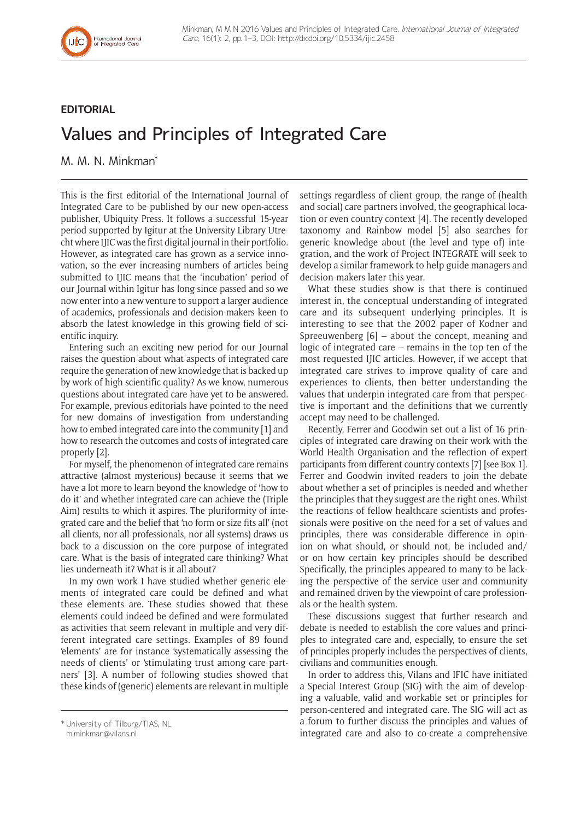# **EDITORIAL**

# Values and Principles of Integrated Care

M. M. N. Minkman\*

This is the first editorial of the International Journal of Integrated Care to be published by our new open-access publisher, Ubiquity Press. It follows a successful 15-year period supported by Igitur at the University Library Utrecht where IJIC was the first digital journal in their portfolio. However, as integrated care has grown as a service innovation, so the ever increasing numbers of articles being submitted to IJIC means that the 'incubation' period of our Journal within Igitur has long since passed and so we now enter into a new venture to support a larger audience of academics, professionals and decision-makers keen to absorb the latest knowledge in this growing field of scientific inquiry.

Entering such an exciting new period for our Journal raises the question about what aspects of integrated care require the generation of new knowledge that is backed up by work of high scientific quality? As we know, numerous questions about integrated care have yet to be answered. For example, previous editorials have pointed to the need for new domains of investigation from understanding how to embed integrated care into the community [1] and how to research the outcomes and costs of integrated care properly [2].

For myself, the phenomenon of integrated care remains attractive (almost mysterious) because it seems that we have a lot more to learn beyond the knowledge of 'how to do it' and whether integrated care can achieve the (Triple Aim) results to which it aspires. The pluriformity of integrated care and the belief that 'no form or size fits all' (not all clients, nor all professionals, nor all systems) draws us back to a discussion on the core purpose of integrated care. What is the basis of integrated care thinking? What lies underneath it? What is it all about?

In my own work I have studied whether generic elements of integrated care could be defined and what these elements are. These studies showed that these elements could indeed be defined and were formulated as activities that seem relevant in multiple and very different integrated care settings. Examples of 89 found 'elements' are for instance 'systematically assessing the needs of clients' or 'stimulating trust among care partners' [3]. A number of following studies showed that these kinds of (generic) elements are relevant in multiple

settings regardless of client group, the range of (health and social) care partners involved, the geographical location or even country context [4]. The recently developed taxonomy and Rainbow model [5] also searches for generic knowledge about (the level and type of) integration, and [the work of Project INTEGRATE](http://integratedcarefoundation.org/blog/project-integrate-3) will seek to develop a similar framework to help guide managers and decision-makers later this year.

What these studies show is that there is continued interest in, the conceptual understanding of integrated care and its subsequent underlying principles. It is interesting to see that the 2002 paper of Kodner and Spreeuwenberg  $[6]$  – about the concept, meaning and logic of integrated care – remains in the top ten of the most requested IJIC articles. However, if we accept that integrated care strives to improve quality of care and experiences to clients, then better understanding the values that underpin integrated care from that perspective is important and the definitions that we currently accept may need to be challenged.

Recently, Ferrer and Goodwin set out a list of 16 principles of integrated care drawing on their work with the World Health Organisation and the reflection of expert participants from different country contexts [7] [see Box 1]. Ferrer and Goodwin invited readers to join the debate about whether a set of principles is needed and whether the principles that they suggest are the right ones. Whilst the reactions of fellow healthcare scientists and professionals were positive on the need for a set of values and principles, there was considerable difference in opinion on what should, or should not, be included and/ or on how certain key principles should be described Specifically, the principles appeared to many to be lacking the perspective of the service user and community and remained driven by the viewpoint of care professionals or the health system.

These discussions suggest that further research and debate is needed to establish the core values and principles to integrated care and, especially, to ensure the set of principles properly includes the perspectives of clients, civilians and communities enough.

In order to address this, Vilans and IFIC have initiated a Special Interest Group (SIG) with the aim of developing a valuable, valid and workable set or principles for person-centered and integrated care. The SIG will act as a forum to further discuss the principles and values of integrated care and also to co-create a comprehensive

<sup>\*</sup> University of Tilburg/TIAS, NL [m.minkman@vilans.nl](mailto:m.minkman@vilans.nl)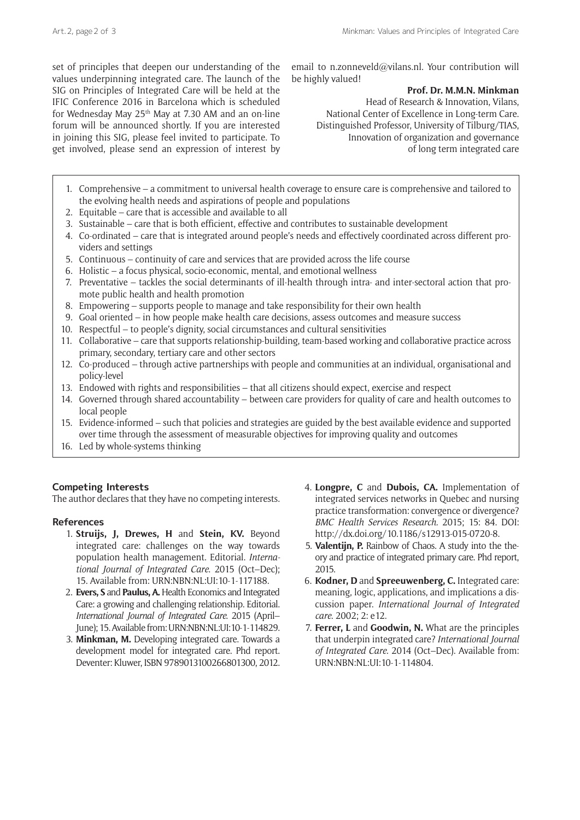set of principles that deepen our understanding of the values underpinning integrated care. The launch of the SIG on Principles of Integrated Care will be held at the [IFIC Conference 2016 in Barcelona](http://integratedcarefoundation.org/events/icic16-16th-international-conference-on-integrated-care) which is scheduled for Wednesday May 25<sup>th</sup> May at 7.30 AM and an on-line forum will be announced shortly. If you are interested in joining this SIG, please feel invited to participate. To get involved, please send an expression of interest by email to [n.zonneveld@vilans.nl.](mailto:n.zonneveld@vilans.nl) Your contribution will be highly valued!

#### **Prof. Dr. M.M.N. Minkman**

Head of Research & Innovation, Vilans, National Center of Excellence in Long-term Care. Distinguished Professor, University of Tilburg/TIAS, Innovation of organization and governance of long term integrated care

- 1. Comprehensive a commitment to universal health coverage to ensure care is comprehensive and tailored to the evolving health needs and aspirations of people and populations
- 2. Equitable care that is accessible and available to all
- 3. Sustainable care that is both efficient, effective and contributes to sustainable development
- 4. Co-ordinated care that is integrated around people's needs and effectively coordinated across different providers and settings
- 5. Continuous continuity of care and services that are provided across the life course
- 6. Holistic a focus physical, socio-economic, mental, and emotional wellness
- 7. Preventative tackles the social determinants of ill-health through intra- and inter-sectoral action that promote public health and health promotion
- 8. Empowering supports people to manage and take responsibility for their own health
- 9. Goal oriented in how people make health care decisions, assess outcomes and measure success
- 10. Respectful to people's dignity, social circumstances and cultural sensitivities
- 11. Collaborative care that supports relationship-building, team-based working and collaborative practice across primary, secondary, tertiary care and other sectors
- 12. Co-produced through active partnerships with people and communities at an individual, organisational and policy-level
- 13. Endowed with rights and responsibilities that all citizens should expect, exercise and respect
- 14. Governed through shared accountability between care providers for quality of care and health outcomes to local people
- 15. Evidence-informed such that policies and strategies are guided by the best available evidence and supported over time through the assessment of measurable objectives for improving quality and outcomes
- 16. Led by whole-systems thinking

## **Competing Interests**

The author declares that they have no competing interests.

## **References**

- 1. **Struijs, J, Drewes, H** and **Stein, KV.** Beyond integrated care: challenges on the way towards population health management. Editorial. *International Journal of Integrated Care*. 2015 (Oct–Dec); 15. Available from: URN:NBN:NL:UI:10-1-117188.
- 2. **Evers, S** and **Paulus, A.** Health Economics and Integrated Care: a growing and challenging relationship. Editorial. *International Journal of Integrated Care*. 2015 (April– June); 15. Available from: URN:NBN:NL:UI:10-1-114829.
- 3. **Minkman, M.** Developing integrated care. Towards a development model for integrated care. Phd report. Deventer: Kluwer, ISBN 9789013100266801300, 2012.
- 4. **Longpre, C** and **Dubois, CA.** Implementation of integrated services networks in Quebec and nursing practice transformation: convergence or divergence? *BMC Health Services Research.* 2015; 15: 84. DOI: http://dx.doi.org/10.1186/s12913-015-0720-8.
- 5. **Valentijn, P.** Rainbow of Chaos. A study into the theory and practice of integrated primary care. Phd report, 2015.
- 6. **Kodner, D** and **Spreeuwenberg, C.** Integrated care: meaning, logic, applications, and implications a discussion paper. *International Journal of Integrated care*. 2002; 2: e12.
- 7. **Ferrer, L** and **Goodwin, N.** What are the principles that underpin integrated care? *International Journal of Integrated Care.* 2014 (Oct–Dec). Available from: URN:NBN:NL:UI:10-1-114804.